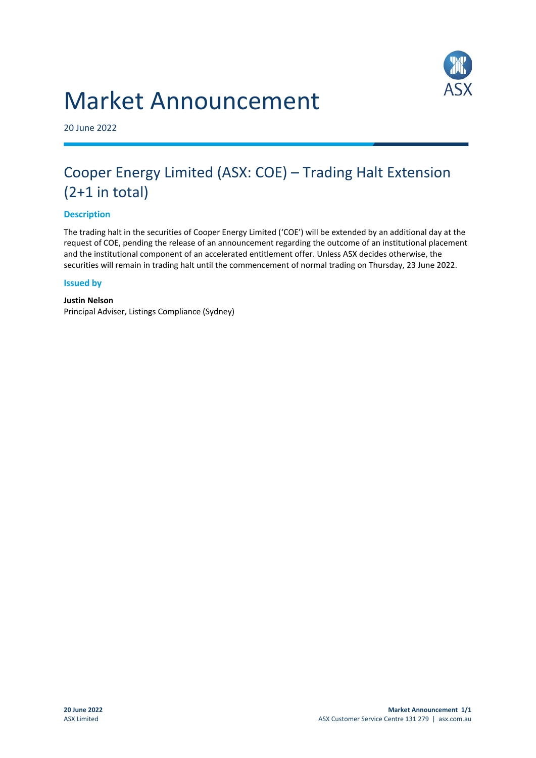# Market Announcement



20 June 2022

# Cooper Energy Limited (ASX: COE) – Trading Halt Extension (2+1 in total)

## **Description**

The trading halt in the securities of Cooper Energy Limited ('COE') will be extended by an additional day at the request of COE, pending the release of an announcement regarding the outcome of an institutional placement and the institutional component of an accelerated entitlement offer. Unless ASX decides otherwise, the securities will remain in trading halt until the commencement of normal trading on Thursday, 23 June 2022.

#### **Issued by**

# **Justin Nelson**

Principal Adviser, Listings Compliance (Sydney)